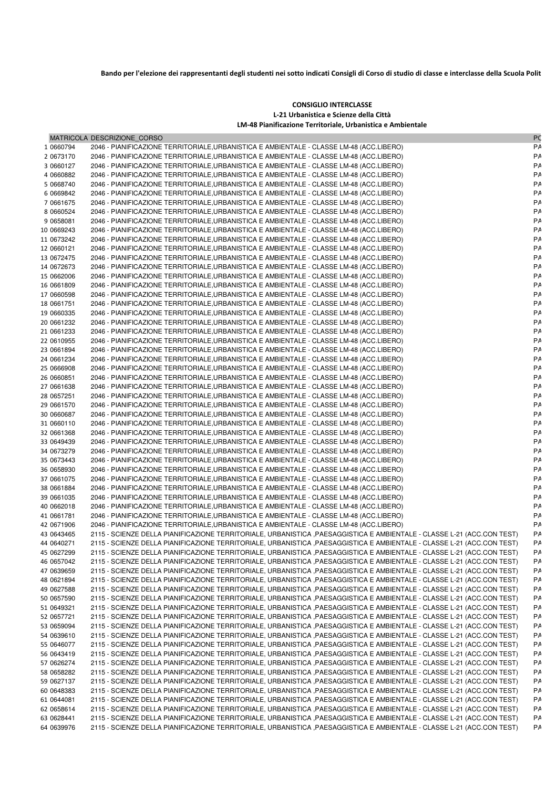Bando per l'elezione dei rappresentanti degli studenti nei sotto indicati Consigli di Corso di studio di classe e interclasse della Scuola Polit

## **CONSIGLIO INTERCLASSE L-21 Urbanistica e Scienze della Città LM-48 Pianificazione Territoriale, Urbanistica e Ambientale**

|                          | MATRICOLA DESCRIZIONE CORSO                                                                                                                                                        | P <sub>C</sub> |
|--------------------------|------------------------------------------------------------------------------------------------------------------------------------------------------------------------------------|----------------|
| 1 0660794                | 2046 - PIANIFICAZIONE TERRITORIALE, URBANISTICA E AMBIENTALE - CLASSE LM-48 (ACC.LIBERO)                                                                                           | P٨             |
| 2 0673170                | 2046 - PIANIFICAZIONE TERRITORIALE,URBANISTICA E AMBIENTALE - CLASSE LM-48 (ACC.LIBERO)                                                                                            | PA             |
| 3 0660127                | 2046 - PIANIFICAZIONE TERRITORIALE, URBANISTICA E AMBIENTALE - CLASSE LM-48 (ACC.LIBERO)                                                                                           | PA             |
| 4 0660882                | 2046 - PIANIFICAZIONE TERRITORIALE,URBANISTICA E AMBIENTALE - CLASSE LM-48 (ACC.LIBERO)                                                                                            | PA             |
| 5 0668740                | 2046 - PIANIFICAZIONE TERRITORIALE,URBANISTICA E AMBIENTALE - CLASSE LM-48 (ACC.LIBERO)                                                                                            | PA             |
| 6 0669842                | 2046 - PIANIFICAZIONE TERRITORIALE,URBANISTICA E AMBIENTALE - CLASSE LM-48 (ACC.LIBERO)                                                                                            | PA             |
| 7 0661675                | 2046 - PIANIFICAZIONE TERRITORIALE, URBANISTICA E AMBIENTALE - CLASSE LM-48 (ACC.LIBERO)                                                                                           | PA             |
| 8 0660524                | 2046 - PIANIFICAZIONE TERRITORIALE,URBANISTICA E AMBIENTALE - CLASSE LM-48 (ACC.LIBERO)                                                                                            | PA             |
| 9 0658081                | 2046 - PIANIFICAZIONE TERRITORIALE,URBANISTICA E AMBIENTALE - CLASSE LM-48 (ACC.LIBERO)                                                                                            | PA             |
| 10 0669243               | 2046 - PIANIFICAZIONE TERRITORIALE,URBANISTICA E AMBIENTALE - CLASSE LM-48 (ACC.LIBERO)                                                                                            | PA             |
| 11 0673242               | 2046 - PIANIFICAZIONE TERRITORIALE,URBANISTICA E AMBIENTALE - CLASSE LM-48 (ACC.LIBERO)                                                                                            | PA             |
| 12 0660121               | 2046 - PIANIFICAZIONE TERRITORIALE,URBANISTICA E AMBIENTALE - CLASSE LM-48 (ACC.LIBERO)                                                                                            | PA             |
| 13 0672475               | 2046 - PIANIFICAZIONE TERRITORIALE,URBANISTICA E AMBIENTALE - CLASSE LM-48 (ACC.LIBERO)                                                                                            | PA             |
| 14 0672673               | 2046 - PIANIFICAZIONE TERRITORIALE,URBANISTICA E AMBIENTALE - CLASSE LM-48 (ACC.LIBERO)                                                                                            | PA             |
| 15 0662006               | 2046 - PIANIFICAZIONE TERRITORIALE,URBANISTICA E AMBIENTALE - CLASSE LM-48 (ACC.LIBERO)                                                                                            | PA             |
| 16 0661809               | 2046 - PIANIFICAZIONE TERRITORIALE, URBANISTICA E AMBIENTALE - CLASSE LM-48 (ACC.LIBERO)                                                                                           | PA             |
| 17 0660598               | 2046 - PIANIFICAZIONE TERRITORIALE,URBANISTICA E AMBIENTALE - CLASSE LM-48 (ACC.LIBERO)                                                                                            | PA             |
| 18 0661751               | 2046 - PIANIFICAZIONE TERRITORIALE,URBANISTICA E AMBIENTALE - CLASSE LM-48 (ACC.LIBERO)                                                                                            | PA             |
| 19 0660335               | 2046 - PIANIFICAZIONE TERRITORIALE,URBANISTICA E AMBIENTALE - CLASSE LM-48 (ACC.LIBERO)                                                                                            | PA             |
| 20 0661232               | 2046 - PIANIFICAZIONE TERRITORIALE, URBANISTICA E AMBIENTALE - CLASSE LM-48 (ACC.LIBERO)                                                                                           | PA             |
| 21 0661233               | 2046 - PIANIFICAZIONE TERRITORIALE, URBANISTICA E AMBIENTALE - CLASSE LM-48 (ACC.LIBERO)                                                                                           | PA             |
| 22 0610955               | 2046 - PIANIFICAZIONE TERRITORIALE,URBANISTICA E AMBIENTALE - CLASSE LM-48 (ACC.LIBERO)                                                                                            | PA             |
| 23 0661894               | 2046 - PIANIFICAZIONE TERRITORIALE,URBANISTICA E AMBIENTALE - CLASSE LM-48 (ACC.LIBERO)                                                                                            | PA             |
| 24 0661234               | 2046 - PIANIFICAZIONE TERRITORIALE, URBANISTICA E AMBIENTALE - CLASSE LM-48 (ACC.LIBERO)                                                                                           | PA             |
| 25 0666908               | 2046 - PIANIFICAZIONE TERRITORIALE,URBANISTICA E AMBIENTALE - CLASSE LM-48 (ACC.LIBERO)                                                                                            | PA             |
| 26 0660851               | 2046 - PIANIFICAZIONE TERRITORIALE, URBANISTICA E AMBIENTALE - CLASSE LM-48 (ACC.LIBERO)                                                                                           | PA             |
| 27 0661638               | 2046 - PIANIFICAZIONE TERRITORIALE, URBANISTICA E AMBIENTALE - CLASSE LM-48 (ACC.LIBERO)                                                                                           | PA             |
| 28 0657251               | 2046 - PIANIFICAZIONE TERRITORIALE,URBANISTICA E AMBIENTALE - CLASSE LM-48 (ACC.LIBERO)                                                                                            | PA             |
| 29 0661570               | 2046 - PIANIFICAZIONE TERRITORIALE,URBANISTICA E AMBIENTALE - CLASSE LM-48 (ACC.LIBERO)                                                                                            | PA             |
| 30 0660687               | 2046 - PIANIFICAZIONE TERRITORIALE,URBANISTICA E AMBIENTALE - CLASSE LM-48 (ACC.LIBERO)                                                                                            | PA             |
| 31 0660110               | 2046 - PIANIFICAZIONE TERRITORIALE,URBANISTICA E AMBIENTALE - CLASSE LM-48 (ACC.LIBERO)                                                                                            | PA             |
| 32 0661368               | 2046 - PIANIFICAZIONE TERRITORIALE, URBANISTICA E AMBIENTALE - CLASSE LM-48 (ACC.LIBERO)                                                                                           | PA             |
| 33 0649439               | 2046 - PIANIFICAZIONE TERRITORIALE,URBANISTICA E AMBIENTALE - CLASSE LM-48 (ACC.LIBERO)                                                                                            | PA             |
| 34 0673279               | 2046 - PIANIFICAZIONE TERRITORIALE,URBANISTICA E AMBIENTALE - CLASSE LM-48 (ACC.LIBERO)                                                                                            | PA             |
| 35 0673443               | 2046 - PIANIFICAZIONE TERRITORIALE,URBANISTICA E AMBIENTALE - CLASSE LM-48 (ACC.LIBERO)                                                                                            | PA<br>PA       |
| 36 0658930<br>37 0661075 | 2046 - PIANIFICAZIONE TERRITORIALE,URBANISTICA E AMBIENTALE - CLASSE LM-48 (ACC.LIBERO)                                                                                            | PA             |
| 38 0661884               | 2046 - PIANIFICAZIONE TERRITORIALE,URBANISTICA E AMBIENTALE - CLASSE LM-48 (ACC.LIBERO)<br>2046 - PIANIFICAZIONE TERRITORIALE,URBANISTICA E AMBIENTALE - CLASSE LM-48 (ACC.LIBERO) | PA             |
| 39 0661035               | 2046 - PIANIFICAZIONE TERRITORIALE,URBANISTICA E AMBIENTALE - CLASSE LM-48 (ACC.LIBERO)                                                                                            | PA             |
| 40 0662018               | 2046 - PIANIFICAZIONE TERRITORIALE,URBANISTICA E AMBIENTALE - CLASSE LM-48 (ACC.LIBERO)                                                                                            | PA             |
| 41 0661781               | 2046 - PIANIFICAZIONE TERRITORIALE, URBANISTICA E AMBIENTALE - CLASSE LM-48 (ACC.LIBERO)                                                                                           | PA             |
| 42 0671906               | 2046 - PIANIFICAZIONE TERRITORIALE, URBANISTICA E AMBIENTALE - CLASSE LM-48 (ACC.LIBERO)                                                                                           | PA             |
| 43 0643465               | 2115 - SCIENZE DELLA PIANIFICAZIONE TERRITORIALE, URBANISTICA ,PAESAGGISTICA E AMBIENTALE - CLASSE L-21 (ACC.CON TEST)                                                             | P٨             |
| 44 0640271               | 2115 - SCIENZE DELLA PIANIFICAZIONE TERRITORIALE, URBANISTICA ,PAESAGGISTICA E AMBIENTALE - CLASSE L-21 (ACC.CON TEST)                                                             | P٨             |
| 45 0627299               | 2115 - SCIENZE DELLA PIANIFICAZIONE TERRITORIALE, URBANISTICA ,PAESAGGISTICA E AMBIENTALE - CLASSE L-21 (ACC.CON TEST)                                                             | P٨             |
| 46 0657042               | 2115 - SCIENZE DELLA PIANIFICAZIONE TERRITORIALE, URBANISTICA ,PAESAGGISTICA E AMBIENTALE - CLASSE L-21 (ACC.CON TEST)                                                             | PΑ             |
| 47 0639659               | 2115 - SCIENZE DELLA PIANIFICAZIONE TERRITORIALE, URBANISTICA ,PAESAGGISTICA E AMBIENTALE - CLASSE L-21 (ACC.CON TEST)                                                             | PΑ             |
| 48 0621894               | 2115 - SCIENZE DELLA PIANIFICAZIONE TERRITORIALE, URBANISTICA ,PAESAGGISTICA E AMBIENTALE - CLASSE L-21 (ACC.CON TEST)                                                             | PΑ             |
| 49 0627588               | 2115 - SCIENZE DELLA PIANIFICAZIONE TERRITORIALE, URBANISTICA ,PAESAGGISTICA E AMBIENTALE - CLASSE L-21 (ACC.CON TEST)                                                             | PΑ             |
| 50 0657590               | 2115 - SCIENZE DELLA PIANIFICAZIONE TERRITORIALE, URBANISTICA ,PAESAGGISTICA E AMBIENTALE - CLASSE L-21 (ACC.CON TEST)                                                             | PΑ             |
| 51 0649321               | 2115 - SCIENZE DELLA PIANIFICAZIONE TERRITORIALE, URBANISTICA ,PAESAGGISTICA E AMBIENTALE - CLASSE L-21 (ACC.CON TEST)                                                             | PΑ             |
| 52 0657721               | 2115 - SCIENZE DELLA PIANIFICAZIONE TERRITORIALE, URBANISTICA ,PAESAGGISTICA E AMBIENTALE - CLASSE L-21 (ACC.CON TEST)                                                             | PΑ             |
| 53 0659094               | 2115 - SCIENZE DELLA PIANIFICAZIONE TERRITORIALE, URBANISTICA ,PAESAGGISTICA E AMBIENTALE - CLASSE L-21 (ACC.CON TEST)                                                             | PΑ             |
| 54 0639610               | 2115 - SCIENZE DELLA PIANIFICAZIONE TERRITORIALE, URBANISTICA ,PAESAGGISTICA E AMBIENTALE - CLASSE L-21 (ACC.CON TEST)                                                             | PΑ             |
| 55 0646077               | 2115 - SCIENZE DELLA PIANIFICAZIONE TERRITORIALE, URBANISTICA ,PAESAGGISTICA E AMBIENTALE - CLASSE L-21 (ACC.CON TEST)                                                             | PΑ             |
| 56 0643419               | 2115 - SCIENZE DELLA PIANIFICAZIONE TERRITORIALE, URBANISTICA ,PAESAGGISTICA E AMBIENTALE - CLASSE L-21 (ACC.CON TEST)                                                             | PΑ             |
| 57 0626274               | 2115 - SCIENZE DELLA PIANIFICAZIONE TERRITORIALE, URBANISTICA ,PAESAGGISTICA E AMBIENTALE - CLASSE L-21 (ACC.CON TEST)                                                             | PΑ             |
| 58 0658282               | 2115 - SCIENZE DELLA PIANIFICAZIONE TERRITORIALE, URBANISTICA ,PAESAGGISTICA E AMBIENTALE - CLASSE L-21 (ACC.CON TEST)                                                             | P٨             |
| 59 0627137               | 2115 - SCIENZE DELLA PIANIFICAZIONE TERRITORIALE, URBANISTICA ,PAESAGGISTICA E AMBIENTALE - CLASSE L-21 (ACC.CON TEST)                                                             | PΑ             |
| 60 0648383               | 2115 - SCIENZE DELLA PIANIFICAZIONE TERRITORIALE, URBANISTICA ,PAESAGGISTICA E AMBIENTALE - CLASSE L-21 (ACC.CON TEST)                                                             | PΑ             |
| 61 0644081               | 2115 - SCIENZE DELLA PIANIFICAZIONE TERRITORIALE, URBANISTICA ,PAESAGGISTICA E AMBIENTALE - CLASSE L-21 (ACC.CON TEST)                                                             | PΑ             |
| 62 0658614               | 2115 - SCIENZE DELLA PIANIFICAZIONE TERRITORIALE, URBANISTICA ,PAESAGGISTICA E AMBIENTALE - CLASSE L-21 (ACC.CON TEST)                                                             | PΑ             |
| 63 0628441               | 2115 - SCIENZE DELLA PIANIFICAZIONE TERRITORIALE, URBANISTICA ,PAESAGGISTICA E AMBIENTALE - CLASSE L-21 (ACC.CON TEST)                                                             | PΑ             |
| 64 0639976               | 2115 - SCIENZE DELLA PIANIFICAZIONE TERRITORIALE, URBANISTICA ,PAESAGGISTICA E AMBIENTALE - CLASSE L-21 (ACC.CON TEST)                                                             | PΑ             |
|                          |                                                                                                                                                                                    |                |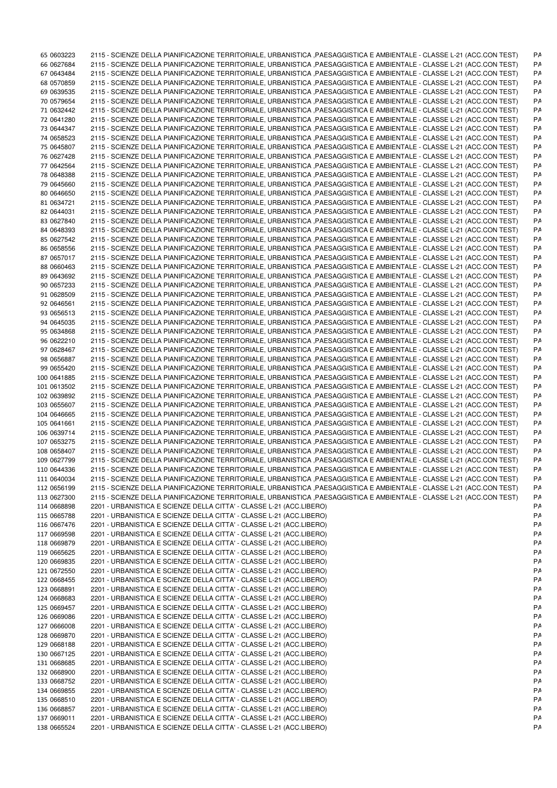| 65 0603223                 | 2115 - SCIENZE DELLA PIANIFICAZIONE TERRITORIALE, URBANISTICA ,PAESAGGISTICA E AMBIENTALE - CLASSE L-21 (ACC.CON TEST) | PΑ |
|----------------------------|------------------------------------------------------------------------------------------------------------------------|----|
| 66 0627684                 | 2115 - SCIENZE DELLA PIANIFICAZIONE TERRITORIALE, URBANISTICA ,PAESAGGISTICA E AMBIENTALE - CLASSE L-21 (ACC.CON TEST) | PΑ |
| 67 0643484                 | 2115 - SCIENZE DELLA PIANIFICAZIONE TERRITORIALE, URBANISTICA ,PAESAGGISTICA E AMBIENTALE - CLASSE L-21 (ACC.CON TEST) | PΑ |
| 68 0570859                 | 2115 - SCIENZE DELLA PIANIFICAZIONE TERRITORIALE, URBANISTICA ,PAESAGGISTICA E AMBIENTALE - CLASSE L-21 (ACC.CON TEST) | PΑ |
| 69 0639535                 | 2115 - SCIENZE DELLA PIANIFICAZIONE TERRITORIALE, URBANISTICA ,PAESAGGISTICA E AMBIENTALE - CLASSE L-21 (ACC.CON TEST) | P٨ |
| 70 0579654                 | 2115 - SCIENZE DELLA PIANIFICAZIONE TERRITORIALE, URBANISTICA ,PAESAGGISTICA E AMBIENTALE - CLASSE L-21 (ACC.CON TEST) | P٨ |
| 71 0632442                 | 2115 - SCIENZE DELLA PIANIFICAZIONE TERRITORIALE, URBANISTICA ,PAESAGGISTICA E AMBIENTALE - CLASSE L-21 (ACC.CON TEST) | P٨ |
|                            |                                                                                                                        |    |
| 72 0641280                 | 2115 - SCIENZE DELLA PIANIFICAZIONE TERRITORIALE, URBANISTICA ,PAESAGGISTICA E AMBIENTALE - CLASSE L-21 (ACC.CON TEST) | PΑ |
| 73 0644347                 | 2115 - SCIENZE DELLA PIANIFICAZIONE TERRITORIALE, URBANISTICA ,PAESAGGISTICA E AMBIENTALE - CLASSE L-21 (ACC.CON TEST) | P٨ |
| 74 0658523                 | 2115 - SCIENZE DELLA PIANIFICAZIONE TERRITORIALE, URBANISTICA ,PAESAGGISTICA E AMBIENTALE - CLASSE L-21 (ACC.CON TEST) | P٨ |
| 75 0645807                 | 2115 - SCIENZE DELLA PIANIFICAZIONE TERRITORIALE, URBANISTICA ,PAESAGGISTICA E AMBIENTALE - CLASSE L-21 (ACC.CON TEST) | PΑ |
| 76 0627428                 | 2115 - SCIENZE DELLA PIANIFICAZIONE TERRITORIALE, URBANISTICA ,PAESAGGISTICA E AMBIENTALE - CLASSE L-21 (ACC.CON TEST) | P٨ |
| 77 0642564                 | 2115 - SCIENZE DELLA PIANIFICAZIONE TERRITORIALE, URBANISTICA ,PAESAGGISTICA E AMBIENTALE - CLASSE L-21 (ACC.CON TEST) | P٨ |
| 78 0648388                 | 2115 - SCIENZE DELLA PIANIFICAZIONE TERRITORIALE, URBANISTICA ,PAESAGGISTICA E AMBIENTALE - CLASSE L-21 (ACC.CON TEST) | P٨ |
| 79 0645660                 | 2115 - SCIENZE DELLA PIANIFICAZIONE TERRITORIALE, URBANISTICA ,PAESAGGISTICA E AMBIENTALE - CLASSE L-21 (ACC.CON TEST) | P٨ |
| 80 0646650                 | 2115 - SCIENZE DELLA PIANIFICAZIONE TERRITORIALE, URBANISTICA ,PAESAGGISTICA E AMBIENTALE - CLASSE L-21 (ACC.CON TEST) | P٨ |
| 81 0634721                 | 2115 - SCIENZE DELLA PIANIFICAZIONE TERRITORIALE, URBANISTICA ,PAESAGGISTICA E AMBIENTALE - CLASSE L-21 (ACC.CON TEST) | P٨ |
| 82 0644031                 | 2115 - SCIENZE DELLA PIANIFICAZIONE TERRITORIALE, URBANISTICA ,PAESAGGISTICA E AMBIENTALE - CLASSE L-21 (ACC.CON TEST) | P٨ |
|                            |                                                                                                                        |    |
| 83 0627840                 | 2115 - SCIENZE DELLA PIANIFICAZIONE TERRITORIALE, URBANISTICA ,PAESAGGISTICA E AMBIENTALE - CLASSE L-21 (ACC.CON TEST) | PΑ |
| 84 0648393                 | 2115 - SCIENZE DELLA PIANIFICAZIONE TERRITORIALE, URBANISTICA ,PAESAGGISTICA E AMBIENTALE - CLASSE L-21 (ACC.CON TEST) | P٨ |
| 85 0627542                 | 2115 - SCIENZE DELLA PIANIFICAZIONE TERRITORIALE, URBANISTICA ,PAESAGGISTICA E AMBIENTALE - CLASSE L-21 (ACC.CON TEST) | P٨ |
| 86 0658556                 | 2115 - SCIENZE DELLA PIANIFICAZIONE TERRITORIALE, URBANISTICA ,PAESAGGISTICA E AMBIENTALE - CLASSE L-21 (ACC.CON TEST) | P٨ |
| 87 0657017                 | 2115 - SCIENZE DELLA PIANIFICAZIONE TERRITORIALE, URBANISTICA ,PAESAGGISTICA E AMBIENTALE - CLASSE L-21 (ACC.CON TEST) | P٨ |
| 88 0660463                 | 2115 - SCIENZE DELLA PIANIFICAZIONE TERRITORIALE, URBANISTICA ,PAESAGGISTICA E AMBIENTALE - CLASSE L-21 (ACC.CON TEST) | P٨ |
| 89 0643692                 | 2115 - SCIENZE DELLA PIANIFICAZIONE TERRITORIALE, URBANISTICA ,PAESAGGISTICA E AMBIENTALE - CLASSE L-21 (ACC.CON TEST) | P٨ |
| 90 0657233                 | 2115 - SCIENZE DELLA PIANIFICAZIONE TERRITORIALE, URBANISTICA ,PAESAGGISTICA E AMBIENTALE - CLASSE L-21 (ACC.CON TEST) | PΑ |
| 91 0628509                 | 2115 - SCIENZE DELLA PIANIFICAZIONE TERRITORIALE, URBANISTICA ,PAESAGGISTICA E AMBIENTALE - CLASSE L-21 (ACC.CON TEST) | P٨ |
| 92 0646561                 | 2115 - SCIENZE DELLA PIANIFICAZIONE TERRITORIALE, URBANISTICA ,PAESAGGISTICA E AMBIENTALE - CLASSE L-21 (ACC.CON TEST) | P٨ |
| 93 0656513                 | 2115 - SCIENZE DELLA PIANIFICAZIONE TERRITORIALE, URBANISTICA ,PAESAGGISTICA E AMBIENTALE - CLASSE L-21 (ACC.CON TEST) | P٨ |
| 94 0645035                 | 2115 - SCIENZE DELLA PIANIFICAZIONE TERRITORIALE, URBANISTICA ,PAESAGGISTICA E AMBIENTALE - CLASSE L-21 (ACC.CON TEST) |    |
|                            |                                                                                                                        | PΑ |
| 95 0634868                 | 2115 - SCIENZE DELLA PIANIFICAZIONE TERRITORIALE, URBANISTICA ,PAESAGGISTICA E AMBIENTALE - CLASSE L-21 (ACC.CON TEST) | P٨ |
| 96 0622210                 | 2115 - SCIENZE DELLA PIANIFICAZIONE TERRITORIALE, URBANISTICA ,PAESAGGISTICA E AMBIENTALE - CLASSE L-21 (ACC.CON TEST) | P٨ |
| 97 0628467                 | 2115 - SCIENZE DELLA PIANIFICAZIONE TERRITORIALE, URBANISTICA ,PAESAGGISTICA E AMBIENTALE - CLASSE L-21 (ACC.CON TEST) | P٨ |
| 98 0656887                 | 2115 - SCIENZE DELLA PIANIFICAZIONE TERRITORIALE, URBANISTICA ,PAESAGGISTICA E AMBIENTALE - CLASSE L-21 (ACC.CON TEST) | P٨ |
| 99 0655420                 | 2115 - SCIENZE DELLA PIANIFICAZIONE TERRITORIALE, URBANISTICA ,PAESAGGISTICA E AMBIENTALE - CLASSE L-21 (ACC.CON TEST) | PΑ |
| 100 0641885                | 2115 - SCIENZE DELLA PIANIFICAZIONE TERRITORIALE, URBANISTICA ,PAESAGGISTICA E AMBIENTALE - CLASSE L-21 (ACC.CON TEST) | P٨ |
| 101 0613502                | 2115 - SCIENZE DELLA PIANIFICAZIONE TERRITORIALE, URBANISTICA ,PAESAGGISTICA E AMBIENTALE - CLASSE L-21 (ACC.CON TEST) | PΑ |
| 102 0639892                | 2115 - SCIENZE DELLA PIANIFICAZIONE TERRITORIALE, URBANISTICA ,PAESAGGISTICA E AMBIENTALE - CLASSE L-21 (ACC.CON TEST) | P٨ |
| 103 0655607                | 2115 - SCIENZE DELLA PIANIFICAZIONE TERRITORIALE, URBANISTICA ,PAESAGGISTICA E AMBIENTALE - CLASSE L-21 (ACC.CON TEST) | P٨ |
| 104 0646665                | 2115 - SCIENZE DELLA PIANIFICAZIONE TERRITORIALE, URBANISTICA ,PAESAGGISTICA E AMBIENTALE - CLASSE L-21 (ACC.CON TEST) | P٨ |
| 105 0641661                | 2115 - SCIENZE DELLA PIANIFICAZIONE TERRITORIALE, URBANISTICA ,PAESAGGISTICA E AMBIENTALE - CLASSE L-21 (ACC.CON TEST) | P٨ |
| 106 0639714                | 2115 - SCIENZE DELLA PIANIFICAZIONE TERRITORIALE, URBANISTICA ,PAESAGGISTICA E AMBIENTALE - CLASSE L-21 (ACC.CON TEST) | P٨ |
| 107 0653275                | 2115 - SCIENZE DELLA PIANIFICAZIONE TERRITORIALE, URBANISTICA ,PAESAGGISTICA E AMBIENTALE - CLASSE L-21 (ACC.CON TEST) | P٨ |
|                            |                                                                                                                        |    |
| 108 0658407                | 2115 - SCIENZE DELLA PIANIFICAZIONE TERRITORIALE, URBANISTICA ,PAESAGGISTICA E AMBIENTALE - CLASSE L-21 (ACC.CON TEST) | PΑ |
| 109 0627799                | 2115 - SCIENZE DELLA PIANIFICAZIONE TERRITORIALE, URBANISTICA ,PAESAGGISTICA E AMBIENTALE - CLASSE L-21 (ACC.CON TEST) | PA |
| 110 0644336                | 2115 - SCIENZE DELLA PIANIFICAZIONE TERRITORIALE, URBANISTICA ,PAESAGGISTICA E AMBIENTALE - CLASSE L-21 (ACC.CON TEST) | PA |
| 111 0640034                | 2115 - SCIENZE DELLA PIANIFICAZIONE TERRITORIALE, URBANISTICA ,PAESAGGISTICA E AMBIENTALE - CLASSE L-21 (ACC.CON TEST) | PΑ |
| 112 0656199                | 2115 - SCIENZE DELLA PIANIFICAZIONE TERRITORIALE, URBANISTICA ,PAESAGGISTICA E AMBIENTALE - CLASSE L-21 (ACC.CON TEST) | PΑ |
| 113 0627300                | 2115 - SCIENZE DELLA PIANIFICAZIONE TERRITORIALE, URBANISTICA ,PAESAGGISTICA E AMBIENTALE - CLASSE L-21 (ACC.CON TEST) | PΑ |
| 114 0668898                | 2201 - URBANISTICA E SCIENZE DELLA CITTA' - CLASSE L-21 (ACC.LIBERO)                                                   | P٨ |
| 115 0665788                | 2201 - URBANISTICA E SCIENZE DELLA CITTA' - CLASSE L-21 (ACC.LIBERO)                                                   | P٨ |
| 116 0667476                | 2201 - URBANISTICA E SCIENZE DELLA CITTA' - CLASSE L-21 (ACC.LIBERO)                                                   | PΑ |
| 117 0669598                | 2201 - URBANISTICA E SCIENZE DELLA CITTA' - CLASSE L-21 (ACC.LIBERO)                                                   | P٨ |
| 118 0669879                | 2201 - URBANISTICA E SCIENZE DELLA CITTA' - CLASSE L-21 (ACC.LIBERO)                                                   | PΑ |
| 119 0665625                | 2201 - URBANISTICA E SCIENZE DELLA CITTA' - CLASSE L-21 (ACC.LIBERO)                                                   | PΑ |
|                            |                                                                                                                        | P٨ |
| 120 0669835<br>121 0672550 | 2201 - URBANISTICA E SCIENZE DELLA CITTA' - CLASSE L-21 (ACC.LIBERO)                                                   |    |
|                            | 2201 - URBANISTICA E SCIENZE DELLA CITTA' - CLASSE L-21 (ACC.LIBERO)                                                   | PΑ |
| 122 0668455                | 2201 - URBANISTICA E SCIENZE DELLA CITTA' - CLASSE L-21 (ACC.LIBERO)                                                   | PΑ |
| 123 0668891                | 2201 - URBANISTICA E SCIENZE DELLA CITTA' - CLASSE L-21 (ACC.LIBERO)                                                   | P٨ |
| 124 0668683                | 2201 - URBANISTICA E SCIENZE DELLA CITTA' - CLASSE L-21 (ACC.LIBERO)                                                   | PA |
| 125 0669457                | 2201 - URBANISTICA E SCIENZE DELLA CITTA' - CLASSE L-21 (ACC.LIBERO)                                                   | PΑ |
| 126 0669086                | 2201 - URBANISTICA E SCIENZE DELLA CITTA' - CLASSE L-21 (ACC.LIBERO)                                                   | PΑ |
| 127 0666008                | 2201 - URBANISTICA E SCIENZE DELLA CITTA' - CLASSE L-21 (ACC.LIBERO)                                                   | PA |
| 128 0669870                | 2201 - URBANISTICA E SCIENZE DELLA CITTA' - CLASSE L-21 (ACC.LIBERO)                                                   | P٨ |
| 129 0668188                | 2201 - URBANISTICA E SCIENZE DELLA CITTA' - CLASSE L-21 (ACC.LIBERO)                                                   | PΑ |
| 130 0667125                | 2201 - URBANISTICA E SCIENZE DELLA CITTA' - CLASSE L-21 (ACC.LIBERO)                                                   | PA |
| 131 0668685                | 2201 - URBANISTICA E SCIENZE DELLA CITTA' - CLASSE L-21 (ACC.LIBERO)                                                   | P٨ |
| 132 0668900                | 2201 - URBANISTICA E SCIENZE DELLA CITTA' - CLASSE L-21 (ACC.LIBERO)                                                   | PΑ |
| 133 0668752                | 2201 - URBANISTICA E SCIENZE DELLA CITTA' - CLASSE L-21 (ACC.LIBERO)                                                   | PA |
| 134 0669855                | 2201 - URBANISTICA E SCIENZE DELLA CITTA' - CLASSE L-21 (ACC.LIBERO)                                                   | P٨ |
|                            | 2201 - URBANISTICA E SCIENZE DELLA CITTA' - CLASSE L-21 (ACC.LIBERO)                                                   |    |
| 135 0668510                |                                                                                                                        | PA |
| 136 0668857                | 2201 - URBANISTICA E SCIENZE DELLA CITTA' - CLASSE L-21 (ACC.LIBERO)                                                   | PΑ |
| 137 0669011                | 2201 - URBANISTICA E SCIENZE DELLA CITTA' - CLASSE L-21 (ACC.LIBERO)                                                   | PA |
| 138 0665524                | 2201 - URBANISTICA E SCIENZE DELLA CITTA' - CLASSE L-21 (ACC.LIBERO)                                                   | P۵ |